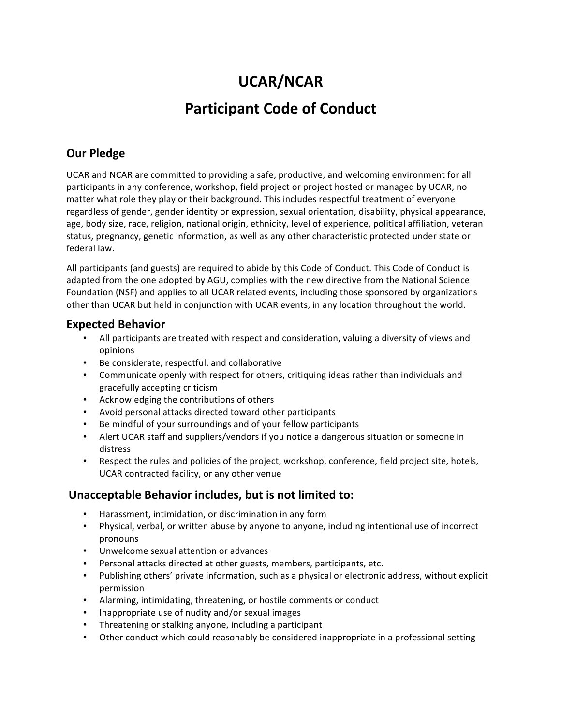# **UCAR/NCAR**

# **Participant Code of Conduct**

### **Our Pledge**

UCAR and NCAR are committed to providing a safe, productive, and welcoming environment for all participants in any conference, workshop, field project or project hosted or managed by UCAR, no matter what role they play or their background. This includes respectful treatment of everyone regardless of gender, gender identity or expression, sexual orientation, disability, physical appearance, age, body size, race, religion, national origin, ethnicity, level of experience, political affiliation, veteran status, pregnancy, genetic information, as well as any other characteristic protected under state or federal law.

All participants (and guests) are required to abide by this Code of Conduct. This Code of Conduct is adapted from the one adopted by AGU, complies with the new directive from the National Science Foundation (NSF) and applies to all UCAR related events, including those sponsored by organizations other than UCAR but held in conjunction with UCAR events, in any location throughout the world.

#### **Expected Behavior**

- All participants are treated with respect and consideration, valuing a diversity of views and opinions
- Be considerate, respectful, and collaborative
- Communicate openly with respect for others, critiquing ideas rather than individuals and gracefully accepting criticism
- Acknowledging the contributions of others
- Avoid personal attacks directed toward other participants
- Be mindful of your surroundings and of your fellow participants
- Alert UCAR staff and suppliers/vendors if you notice a dangerous situation or someone in distress
- Respect the rules and policies of the project, workshop, conference, field project site, hotels, UCAR contracted facility, or any other venue

#### **Unacceptable Behavior includes, but is not limited to:**

- Harassment, intimidation, or discrimination in any form
- Physical, verbal, or written abuse by anyone to anyone, including intentional use of incorrect pronouns
- Unwelcome sexual attention or advances
- Personal attacks directed at other guests, members, participants, etc.
- Publishing others' private information, such as a physical or electronic address, without explicit permission
- Alarming, intimidating, threatening, or hostile comments or conduct
- Inappropriate use of nudity and/or sexual images
- Threatening or stalking anyone, including a participant
- Other conduct which could reasonably be considered inappropriate in a professional setting